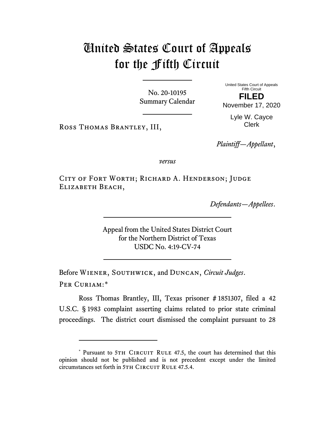## United States Court of Appeals for the Fifth Circuit

No. 20-10195 Summary Calendar United States Court of Appeals Fifth Circuit **FILED**

November 17, 2020

Lyle W. Cayce Clerk

*Plaintiff—Appellant*,

*versus*

CITY OF FORT WORTH; RICHARD A. HENDERSON; JUDGE Elizabeth Beach,

Ross Thomas Brantley, III,

*Defendants—Appellees*.

Appeal from the United States District Court for the Northern District of Texas USDC No. 4:19-CV-74

Before Wiener, Southwick, and Duncan, *Circuit Judges*. Per Curiam:[\\*](#page-0-0)

Ross Thomas Brantley, III, Texas prisoner # 1851307, filed a 42 U.S.C. § 1983 complaint asserting claims related to prior state criminal proceedings. The district court dismissed the complaint pursuant to 28

<span id="page-0-0"></span><sup>\*</sup> Pursuant to 5TH CIRCUIT RULE 47.5, the court has determined that this opinion should not be published and is not precedent except under the limited circumstances set forth in 5TH CIRCUIT RULE 47.5.4.